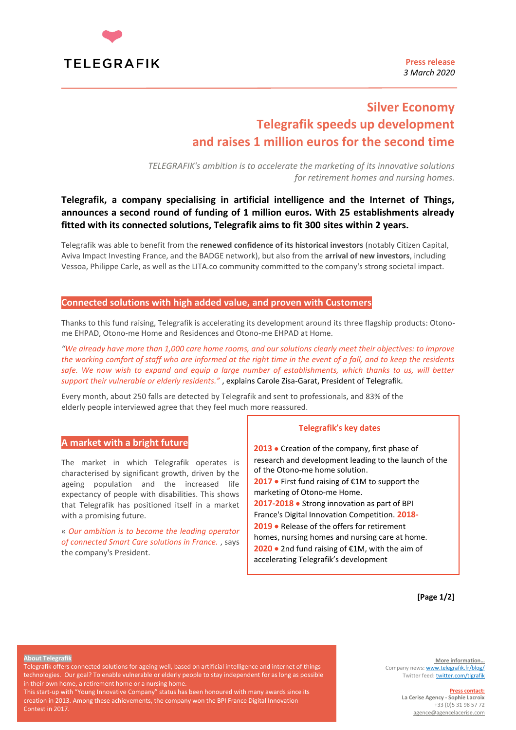

**Press release** *3 March 2020*

# **Silver Economy Telegrafik speeds up development and raises 1 million euros for the second time**

*TELEGRAFIK's ambition is to accelerate the marketing of its innovative solutions for retirement homes and nursing homes.*

# **Telegrafik, a company specialising in artificial intelligence and the Internet of Things, announces a second round of funding of 1 million euros. With 25 establishments already fitted with its connected solutions, Telegrafik aims to fit 300 sites within 2 years.**

Telegrafik was able to benefit from the **renewed confidence of its historical investors** (notably Citizen Capital, Aviva Impact Investing France, and the BADGE network), but also from the **arrival of new investors**, including Vessoa, Philippe Carle, as well as the LITA.co community committed to the company's strong societal impact.

# **Connected solutions with high added value, and proven with Customers**

Thanks to this fund raising, Telegrafik is accelerating its development around its three flagship products: Otonome EHPAD, Otono-me Home and Residences and Otono-me EHPAD at Home.

*"We already have more than 1,000 care home rooms, and our solutions clearly meet their objectives: to improve the working comfort of staff who are informed at the right time in the event of a fall, and to keep the residents*  safe. We now wish to expand and equip a large number of establishments, which thanks to us, will better *support their vulnerable or elderly residents."* , explains Carole Zisa-Garat, President of Telegrafik.

Every month, about 250 falls are detected by Telegrafik and sent to professionals, and 83% of the elderly people interviewed agree that they feel much more reassured.

# **A market with a bright future**

The market in which Telegrafik operates is characterised by significant growth, driven by the ageing population and the increased life expectancy of people with disabilities. This shows that Telegrafik has positioned itself in a market with a promising future.

« *Our ambition is to become the leading operator of connected Smart Care solutions in France.* , says the company's President.

### **Telegrafik's key dates**

**2013** • Creation of the company, first phase of research and development leading to the launch of the of the Otono-me home solution. **2017** • First fund raising of €1M to support the marketing of Otono-me Home. **2017-2018** • Strong innovation as part of BPI France's Digital Innovation Competition. **2018- 2019** • Release of the offers for retirement homes, nursing homes and nursing care at home. **2020** • 2nd fund raising of €1M, with the aim of accelerating Telegrafik's development

**[Page 1/2]**

#### **About Telegrafik**

Telegrafik offers connected solutions for ageing well, based on artificial intelligence and internet of things technologies. Our goal? To enable vulnerable or elderly people to stay independent for as long as possible in their own home, a retirement home or a nursing home

This start-up with "Young Innovative Company" status has been honoured with many awards since its creation in 2013. Among these achievements, the company won the BPI France Digital Innovation Contest in 2017.

**More information…** Company news[: www.telegrafik.fr/blog/](http://go.tentelemed.com/e/265012/blog-/7kjc6/299270701) Twitter feed: **twitter.com/tlgrafik** 

#### **Press contact:**

**La Cerise Agency - Sophie Lacroix** +33 (0)5 31 98 57 72 [agence@agencelacerise.com](mailto:agence@agencelacerise.com)